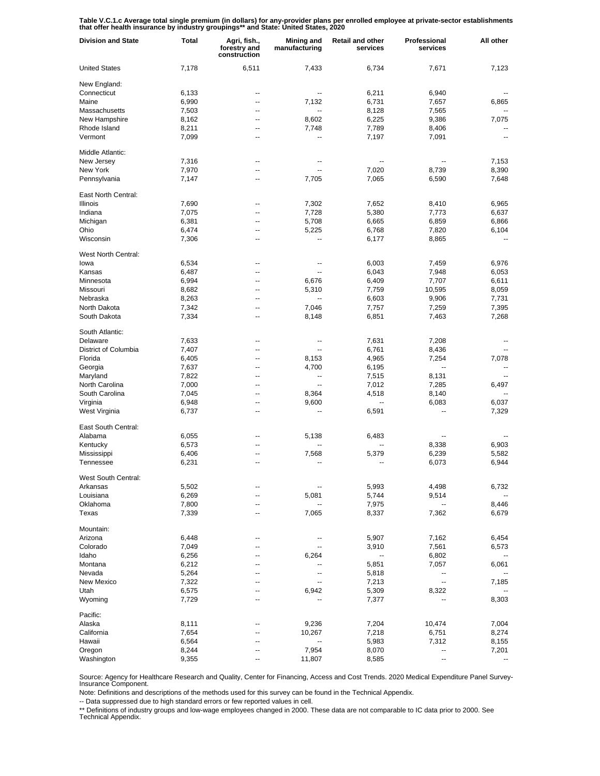Table V.C.1.c Average total single premium (in dollars) for any-provider plans per enrolled employee at private-sector establishments<br>that offer health insurance by industry groupings\*\* and State: United States, 2020

| <b>Division and State</b> | <b>Total</b>   | Agri, fish.,<br>forestry and<br>construction | <b>Mining and</b><br>manufacturing | <b>Retail and other</b><br>services | Professional<br>services | All other |
|---------------------------|----------------|----------------------------------------------|------------------------------------|-------------------------------------|--------------------------|-----------|
| <b>United States</b>      | 7,178          | 6,511                                        | 7,433                              | 6,734                               | 7,671                    | 7,123     |
| New England:              |                |                                              |                                    |                                     |                          |           |
| Connecticut               | 6,133          | --                                           |                                    | 6,211                               | 6,940                    |           |
| Maine                     | 6,990          | $\overline{\phantom{a}}$                     | 7,132                              | 6,731                               | 7,657                    | 6,865     |
| Massachusetts             | 7,503          | --                                           |                                    | 8,128                               | 7,565                    |           |
| New Hampshire             | 8,162          | $\overline{\phantom{a}}$                     | 8,602                              | 6,225                               | 9,386                    | 7,075     |
| Rhode Island              | 8,211          | --                                           | 7,748                              | 7,789                               | 8,406                    |           |
| Vermont                   | 7,099          | --                                           |                                    | 7,197                               | 7,091                    | --        |
| Middle Atlantic:          |                |                                              |                                    |                                     |                          |           |
| New Jersey                | 7,316          | --                                           |                                    | $\overline{a}$                      | --                       | 7,153     |
| New York                  | 7,970          | --                                           |                                    | 7,020                               | 8,739                    | 8,390     |
| Pennsylvania              | 7,147          | --                                           | 7,705                              | 7,065                               | 6,590                    | 7,648     |
| East North Central:       |                |                                              |                                    |                                     |                          |           |
| <b>Illinois</b>           | 7,690          | --                                           | 7,302                              | 7,652                               | 8,410                    | 6,965     |
| Indiana                   |                |                                              | 7,728                              | 5,380                               |                          | 6,637     |
| Michigan                  | 7,075<br>6,381 | --<br>--                                     | 5,708                              |                                     | 7,773<br>6,859           |           |
| Ohio                      |                |                                              |                                    | 6,665                               |                          | 6,866     |
|                           | 6,474          | --                                           | 5,225                              | 6,768                               | 7,820                    | 6,104     |
| Wisconsin                 | 7,306          | --                                           |                                    | 6,177                               | 8,865                    |           |
| West North Central:       |                |                                              |                                    |                                     |                          |           |
| lowa                      | 6,534          | --                                           | --                                 | 6,003                               | 7,459                    | 6,976     |
| Kansas                    | 6,487          | $\overline{\phantom{a}}$                     | --                                 | 6,043                               | 7,948                    | 6,053     |
| Minnesota                 | 6,994          | --                                           | 6,676                              | 6,409                               | 7,707                    | 6,611     |
| Missouri                  | 8,682          | $\overline{\phantom{a}}$                     | 5,310                              | 7,759                               | 10,595                   | 8,059     |
| Nebraska                  | 8,263          | --                                           |                                    | 6,603                               | 9,906                    | 7,731     |
| North Dakota              | 7,342          | --                                           | 7,046                              | 7,757                               | 7,259                    | 7,395     |
| South Dakota              | 7,334          | --                                           | 8,148                              | 6,851                               | 7,463                    | 7,268     |
| South Atlantic:           |                |                                              |                                    |                                     |                          |           |
| Delaware                  | 7,633          | --                                           |                                    | 7,631                               | 7,208                    |           |
| District of Columbia      | 7,407          | --                                           |                                    | 6,761                               | 8,436                    |           |
| Florida                   | 6,405          | --                                           | 8,153                              | 4,965                               | 7,254                    | 7,078     |
| Georgia                   | 7,637          | --                                           | 4,700                              | 6,195                               | --                       |           |
| Maryland                  | 7,822          | --                                           | --                                 | 7,515                               | 8,131                    |           |
| North Carolina            | 7,000          | --                                           |                                    | 7,012                               | 7,285                    | 6,497     |
| South Carolina            | 7,045          | --                                           | 8,364                              | 4,518                               | 8,140                    |           |
| Virginia                  | 6,948          | --                                           | 9,600                              | Ξ.                                  | 6,083                    | 6,037     |
| West Virginia             | 6,737          | --                                           |                                    | 6,591                               | --                       | 7,329     |
| East South Central:       |                |                                              |                                    |                                     |                          |           |
| Alabama                   | 6,055          | --                                           | 5,138                              | 6,483                               | --                       |           |
| Kentucky                  | 6,573          | --                                           |                                    | --                                  | 8,338                    | 6,903     |
| Mississippi               | 6,406          | --                                           | 7,568                              | 5,379                               | 6,239                    | 5,582     |
| Tennessee                 | 6,231          | ٠.                                           |                                    |                                     | 6,073                    | 6,944     |
| West South Central:       |                |                                              |                                    |                                     |                          |           |
| Arkansas                  | 5,502          |                                              |                                    | 5,993                               | 4,498                    | 6,732     |
| Louisiana                 |                | --                                           | 5,081                              | 5,744                               | 9,514                    |           |
| Oklahoma                  | 6,269          | --                                           |                                    |                                     | --                       | 8,446     |
| Texas                     | 7,800<br>7,339 | $\overline{\phantom{a}}$                     | 7,065                              | 7,975<br>8,337                      | 7,362                    | 6,679     |
|                           |                |                                              |                                    |                                     |                          |           |
| Mountain:                 |                |                                              |                                    |                                     |                          |           |
| Arizona                   | 6,448          | --                                           |                                    | 5,907                               | 7,162                    | 6,454     |
| Colorado                  | 7,049          | --                                           |                                    | 3,910                               | 7,561                    | 6,573     |
| Idaho                     | 6,256          | --                                           | 6,264                              | --                                  | 6,802                    |           |
| Montana                   | 6,212          | --                                           |                                    | 5,851                               | 7,057                    | 6,061     |
| Nevada                    | 5,264          | --                                           |                                    | 5,818                               | --                       |           |
| New Mexico                | 7,322          | --                                           |                                    | 7,213                               | --                       | 7,185     |
| Utah                      | 6,575          | --                                           | 6,942                              | 5,309                               | 8,322                    |           |
| Wyoming                   | 7,729          | --                                           |                                    | 7,377                               |                          | 8,303     |
| Pacific:                  |                |                                              |                                    |                                     |                          |           |
| Alaska                    | 8,111          | --                                           | 9,236                              | 7,204                               | 10,474                   | 7,004     |
| California                | 7,654          | --                                           | 10,267                             | 7,218                               | 6,751                    | 8,274     |
| Hawaii                    | 6,564          | --                                           | --                                 | 5,983                               | 7,312                    | 8,155     |
| Oregon                    | 8,244          | --                                           | 7,954                              | 8,070                               | --                       | 7,201     |
| Washington                | 9,355          | --                                           | 11,807                             | 8,585                               | --                       |           |

Source: Agency for Healthcare Research and Quality, Center for Financing, Access and Cost Trends. 2020 Medical Expenditure Panel Survey-Insurance Component.

Note: Definitions and descriptions of the methods used for this survey can be found in the Technical Appendix.

-- Data suppressed due to high standard errors or few reported values in cell.

\*\* Definitions of industry groups and low-wage employees changed in 2000. These data are not comparable to IC data prior to 2000. See Technical Appendix.